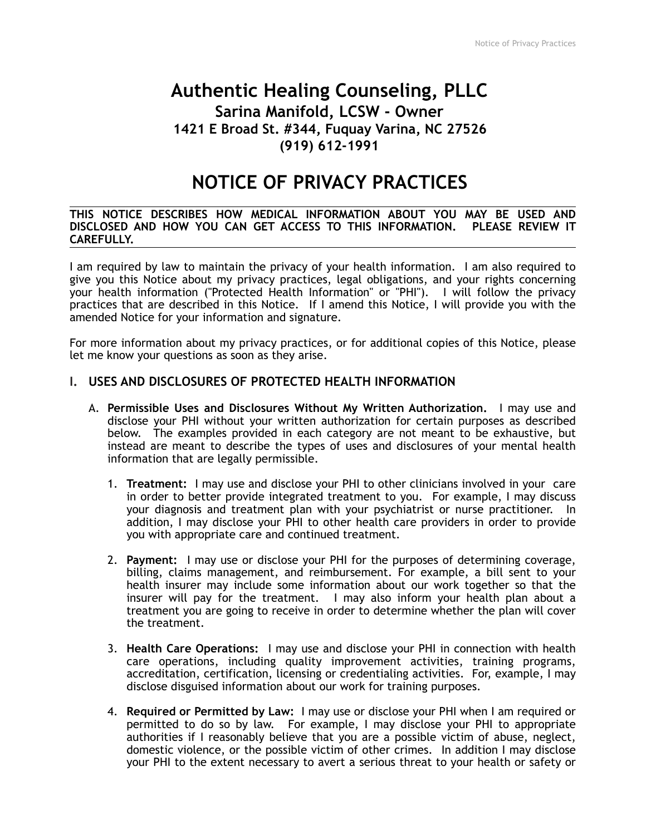# **Authentic Healing Counseling, PLLC Sarina Manifold, LCSW - Owner 1421 E Broad St. #344, Fuquay Varina, NC 27526 (919) 612-1991**

# **NOTICE OF PRIVACY PRACTICES**

#### **THIS NOTICE DESCRIBES HOW MEDICAL INFORMATION ABOUT YOU MAY BE USED AND DISCLOSED AND HOW YOU CAN GET ACCESS TO THIS INFORMATION. PLEASE REVIEW IT CAREFULLY.**

I am required by law to maintain the privacy of your health information. I am also required to give you this Notice about my privacy practices, legal obligations, and your rights concerning your health information ("Protected Health Information" or "PHI"). I will follow the privacy practices that are described in this Notice. If I amend this Notice, I will provide you with the amended Notice for your information and signature.

For more information about my privacy practices, or for additional copies of this Notice, please let me know your questions as soon as they arise.

# **I. USES AND DISCLOSURES OF PROTECTED HEALTH INFORMATION**

- A. **Permissible Uses and Disclosures Without My Written Authorization.** I may use and disclose your PHI without your written authorization for certain purposes as described below. The examples provided in each category are not meant to be exhaustive, but instead are meant to describe the types of uses and disclosures of your mental health information that are legally permissible.
	- 1. **Treatment:** I may use and disclose your PHI to other clinicians involved in your care in order to better provide integrated treatment to you. For example, I may discuss your diagnosis and treatment plan with your psychiatrist or nurse practitioner. In addition, I may disclose your PHI to other health care providers in order to provide you with appropriate care and continued treatment.
	- 2. **Payment:** I may use or disclose your PHI for the purposes of determining coverage, billing, claims management, and reimbursement. For example, a bill sent to your health insurer may include some information about our work together so that the insurer will pay for the treatment. I may also inform your health plan about a treatment you are going to receive in order to determine whether the plan will cover the treatment.
	- 3. **Health Care Operations:** I may use and disclose your PHI in connection with health care operations, including quality improvement activities, training programs, accreditation, certification, licensing or credentialing activities. For, example, I may disclose disguised information about our work for training purposes.
	- 4. **Required or Permitted by Law:** I may use or disclose your PHI when I am required or permitted to do so by law. For example, I may disclose your PHI to appropriate authorities if I reasonably believe that you are a possible victim of abuse, neglect, domestic violence, or the possible victim of other crimes. In addition I may disclose your PHI to the extent necessary to avert a serious threat to your health or safety or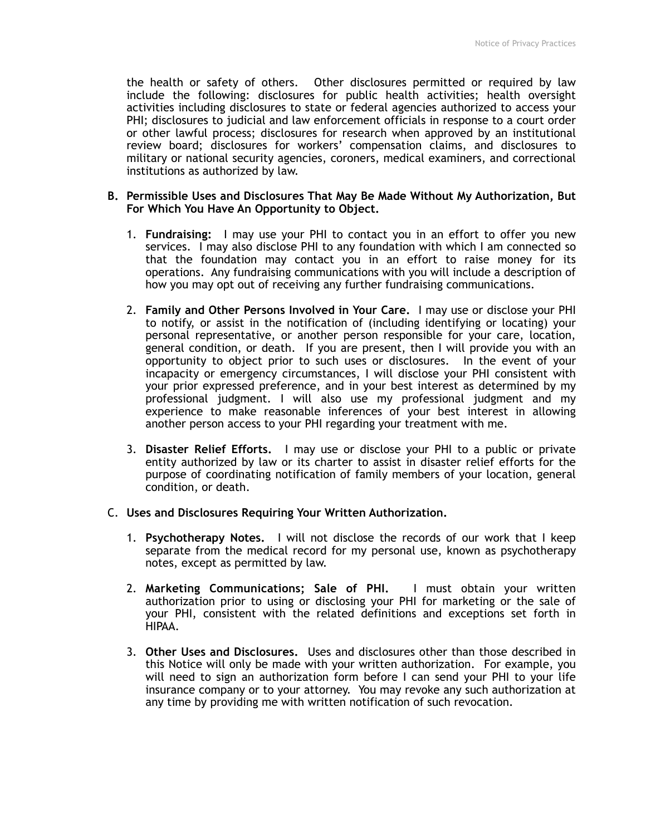the health or safety of others. Other disclosures permitted or required by law include the following: disclosures for public health activities; health oversight activities including disclosures to state or federal agencies authorized to access your PHI; disclosures to judicial and law enforcement officials in response to a court order or other lawful process; disclosures for research when approved by an institutional review board; disclosures for workers' compensation claims, and disclosures to military or national security agencies, coroners, medical examiners, and correctional institutions as authorized by law.

#### **B. Permissible Uses and Disclosures That May Be Made Without My Authorization, But For Which You Have An Opportunity to Object.**

- 1. **Fundraising:** I may use your PHI to contact you in an effort to offer you new services. I may also disclose PHI to any foundation with which I am connected so that the foundation may contact you in an effort to raise money for its operations. Any fundraising communications with you will include a description of how you may opt out of receiving any further fundraising communications.
- 2. **Family and Other Persons Involved in Your Care.** I may use or disclose your PHI to notify, or assist in the notification of (including identifying or locating) your personal representative, or another person responsible for your care, location, general condition, or death. If you are present, then I will provide you with an opportunity to object prior to such uses or disclosures. In the event of your incapacity or emergency circumstances, I will disclose your PHI consistent with your prior expressed preference, and in your best interest as determined by my professional judgment. I will also use my professional judgment and my experience to make reasonable inferences of your best interest in allowing another person access to your PHI regarding your treatment with me.
- 3. **Disaster Relief Efforts.** I may use or disclose your PHI to a public or private entity authorized by law or its charter to assist in disaster relief efforts for the purpose of coordinating notification of family members of your location, general condition, or death.

# C. **Uses and Disclosures Requiring Your Written Authorization.**

- 1. **Psychotherapy Notes.** I will not disclose the records of our work that I keep separate from the medical record for my personal use, known as psychotherapy notes, except as permitted by law.
- 2. **Marketing Communications; Sale of PHI.** I must obtain your written authorization prior to using or disclosing your PHI for marketing or the sale of your PHI, consistent with the related definitions and exceptions set forth in HIPAA.
- 3. **Other Uses and Disclosures.** Uses and disclosures other than those described in this Notice will only be made with your written authorization. For example, you will need to sign an authorization form before I can send your PHI to your life insurance company or to your attorney. You may revoke any such authorization at any time by providing me with written notification of such revocation.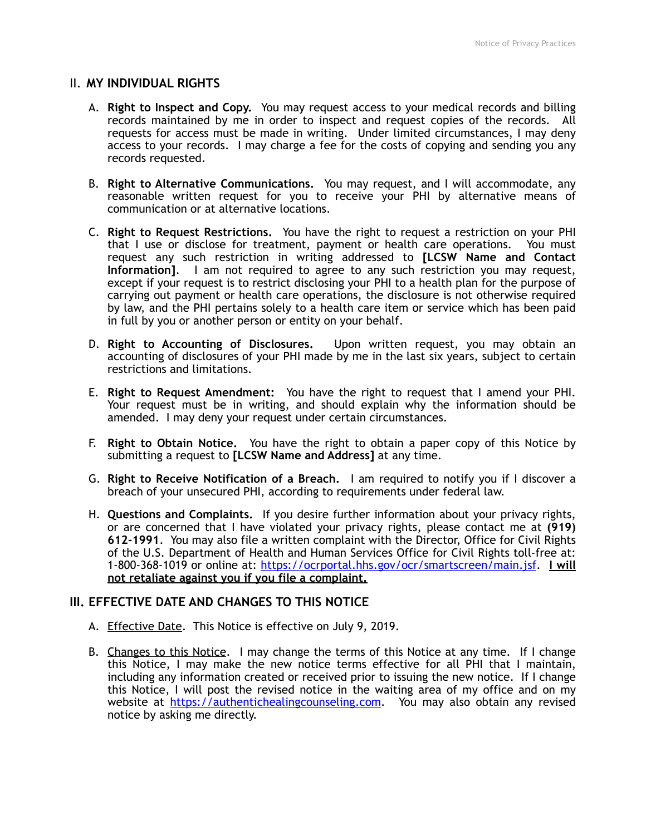# II. **MY INDIVIDUAL RIGHTS**

- A. **Right to Inspect and Copy.** You may request access to your medical records and billing records maintained by me in order to inspect and request copies of the records. All requests for access must be made in writing. Under limited circumstances, I may deny access to your records. I may charge a fee for the costs of copying and sending you any records requested.
- B. **Right to Alternative Communications.** You may request, and I will accommodate, any reasonable written request for you to receive your PHI by alternative means of communication or at alternative locations.
- C. **Right to Request Restrictions.** You have the right to request a restriction on your PHI that I use or disclose for treatment, payment or health care operations. You must request any such restriction in writing addressed to **[LCSW Name and Contact Information]**. I am not required to agree to any such restriction you may request, except if your request is to restrict disclosing your PHI to a health plan for the purpose of carrying out payment or health care operations, the disclosure is not otherwise required by law, and the PHI pertains solely to a health care item or service which has been paid in full by you or another person or entity on your behalf.
- D. **Right to Accounting of Disclosures.** Upon written request, you may obtain an accounting of disclosures of your PHI made by me in the last six years, subject to certain restrictions and limitations.
- E. **Right to Request Amendment:** You have the right to request that I amend your PHI. Your request must be in writing, and should explain why the information should be amended. I may deny your request under certain circumstances.
- F. **Right to Obtain Notice.** You have the right to obtain a paper copy of this Notice by submitting a request to **[LCSW Name and Address]** at any time.
- G. **Right to Receive Notification of a Breach.** I am required to notify you if I discover a breach of your unsecured PHI, according to requirements under federal law.
- H. **Questions and Complaints.** If you desire further information about your privacy rights, or are concerned that I have violated your privacy rights, please contact me at **(919) 612-1991**. You may also file a written complaint with the Director, Office for Civil Rights of the U.S. Department of Health and Human Services Office for Civil Rights toll-free at: 1-800-368-1019 or online at: [https://ocrportal.hhs.gov/ocr/smartscreen/main.jsf.](https://ocrportal.hhs.gov/ocr/smartscreen/main.jsf) **I will not retaliate against you if you file a complaint.**

### **III. EFFECTIVE DATE AND CHANGES TO THIS NOTICE**

- A. Effective Date. This Notice is effective on July 9, 2019.
- B. Changes to this Notice. I may change the terms of this Notice at any time. If I change this Notice, I may make the new notice terms effective for all PHI that I maintain, including any information created or received prior to issuing the new notice. If I change this Notice, I will post the revised notice in the waiting area of my office and on my website at <https://authentichealingcounseling.com>. You may also obtain any revised notice by asking me directly.